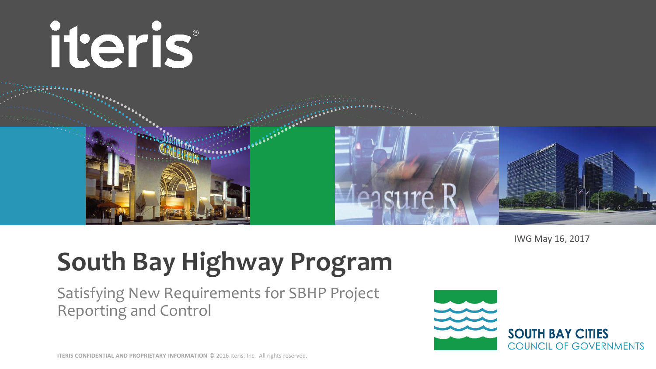

IWG May 16, 2017

# **South Bay Highway Program**

Satisfying New Requirements for SBHP Project Reporting and Control

**SOUTH BAY CITIES COUNCIL OF GOVERNMENTS**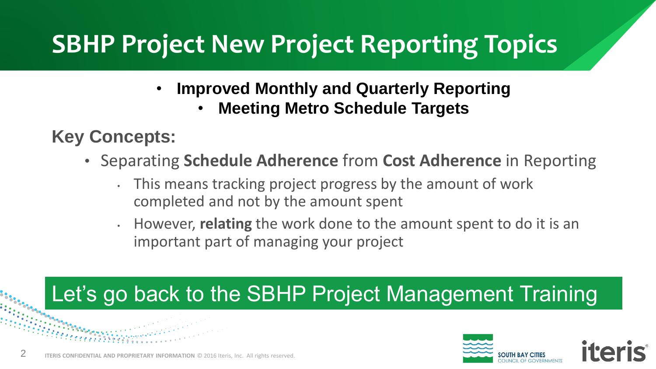# **SBHP Project New Project Reporting Topics**

- **Improved Monthly and Quarterly Reporting**
	- **Meeting Metro Schedule Targets**

#### **Key Concepts:**

- Separating **Schedule Adherence** from **Cost Adherence** in Reporting
	- This means tracking project progress by the amount of work completed and not by the amount spent
	- However, **relating** the work done to the amount spent to do it is an important part of managing your project

#### Let's go back to the SBHP Project Management Training

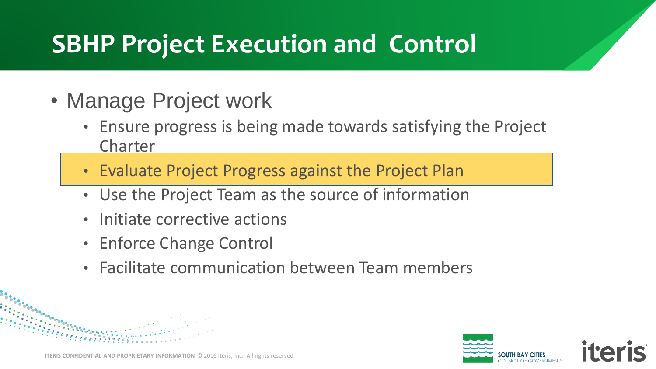#### **SBHP Project Execution and Control**

- Manage Project work
	- Ensure progress is being made towards satisfying the Project Charter
	- Evaluate Project Progress against the Project Plan
	- Use the Project Team as the source of information
	- Initiate corrective actions
	- Enforce Change Control
	- Facilitate communication between Team members

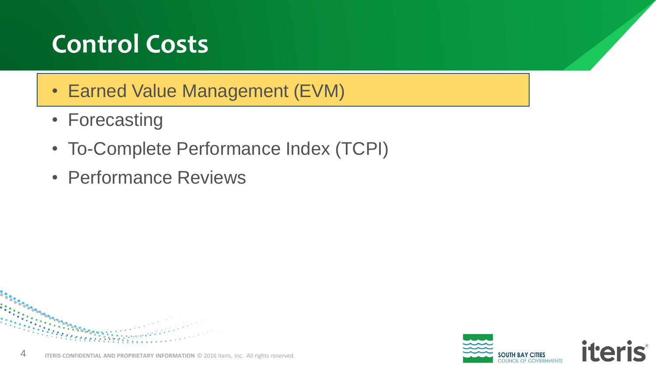# **Control Costs**

- Earned Value Management (EVM)
- Forecasting
- To-Complete Performance Index (TCPI)
- Performance Reviews

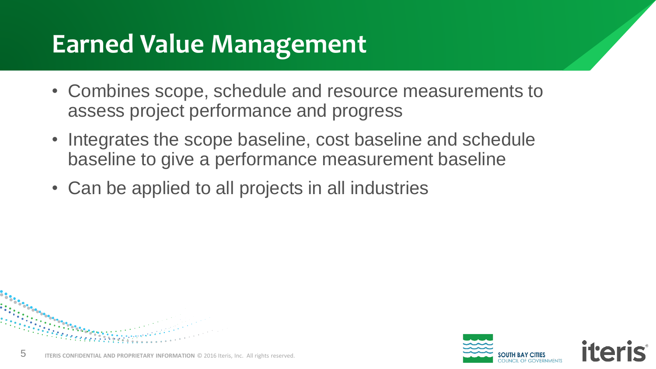#### **Earned Value Management**

- Combines scope, schedule and resource measurements to assess project performance and progress
- Integrates the scope baseline, cost baseline and schedule baseline to give a performance measurement baseline
- Can be applied to all projects in all industries



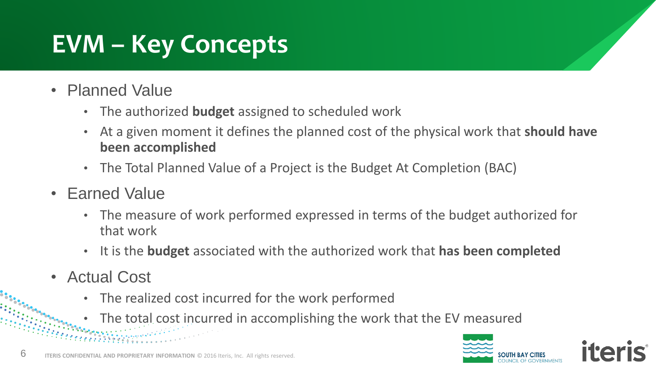# **EVM – Key Concepts**

- Planned Value
	- The authorized **budget** assigned to scheduled work
	- At a given moment it defines the planned cost of the physical work that **should have been accomplished**
	- The Total Planned Value of a Project is the Budget At Completion (BAC)
- **Earned Value** 
	- The measure of work performed expressed in terms of the budget authorized for that work
	- It is the **budget** associated with the authorized work that **has been completed**
- Actual Cost
	- The realized cost incurred for the work performed
	- The total cost incurred in accomplishing the work that the EV measured

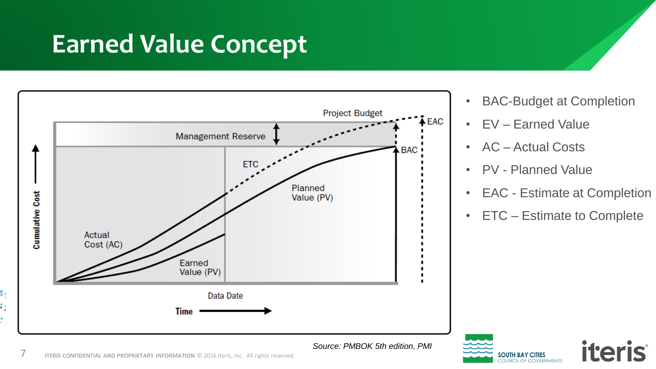#### **Earned Value Concept**



- BAC-Budget at Completion
- EV Earned Value
- AC Actual Costs
- PV Planned Value

CIL OF GOVERNMENTS

- EAC Estimate at Completion
- ETC Estimate to Complete

*iteris* 



7

å,

٠,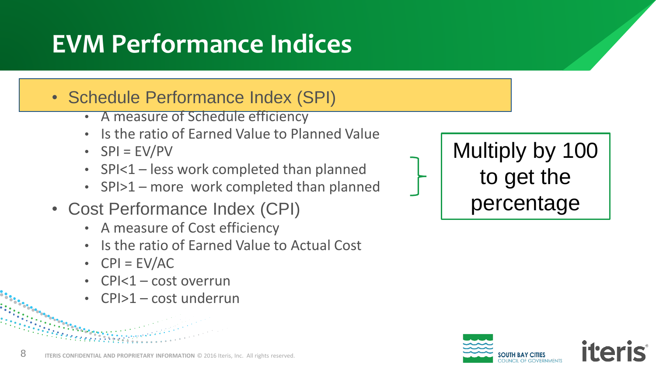# **EVM Performance Indices**

• Schedule Performance Index (SPI)

- A measure of Schedule efficiency
- Is the ratio of Earned Value to Planned Value
- $\cdot$  SPI = EV/PV
- SPI<1 less work completed than planned
- SPI>1 more work completed than planned
- Cost Performance Index (CPI)
	- A measure of Cost efficiency
	- Is the ratio of Earned Value to Actual Cost
	- $CPI = EV/AC$
	- $CPI < 1 cost overrun$
	- CPI>1 cost underrun





**ITERIS CONFIDENTIAL AND PROPRIETARY INFORMATION** © 2016 Iteris, Inc. All rights reserved.

8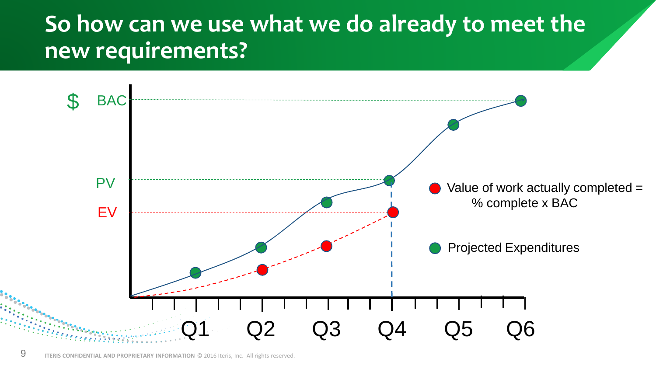#### **So how can we use what we do already to meet the new requirements?**

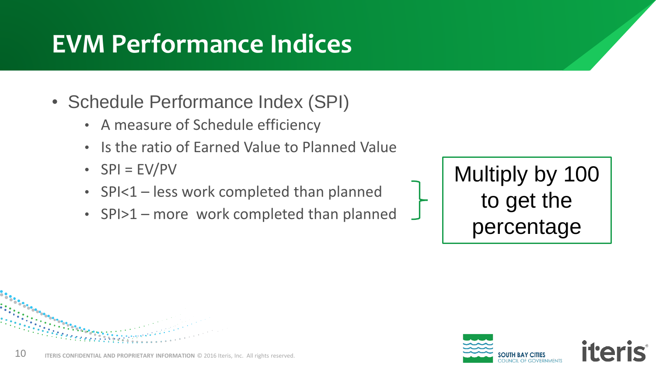# **EVM Performance Indices**

- Schedule Performance Index (SPI)
	- A measure of Schedule efficiency
	- Is the ratio of Earned Value to Planned Value
	- $SPI = EV/PV$
	- SPI<1 less work completed than planned
	- SPI>1 more work completed than planned

Multiply by 100 to get the percentage

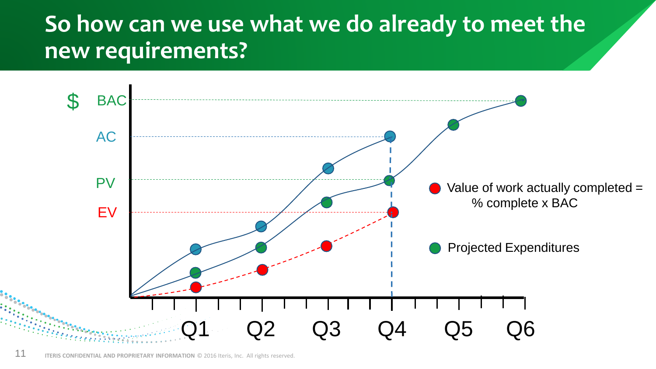#### **So how can we use what we do already to meet the new requirements?**